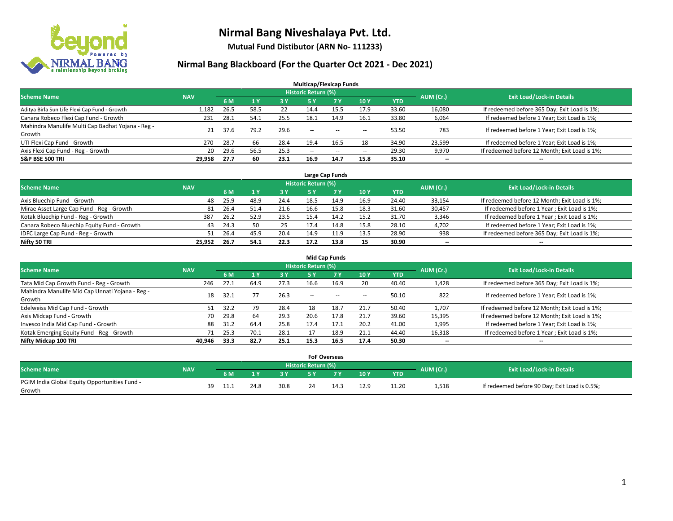

**Mutual Fund Distibutor (ARN No- 111233)**

| <b>Multicap/Flexicap Funds</b>                    |            |      |      |            |                            |            |                          |            |           |                                               |  |  |  |
|---------------------------------------------------|------------|------|------|------------|----------------------------|------------|--------------------------|------------|-----------|-----------------------------------------------|--|--|--|
| <b>Scheme Name</b>                                | <b>NAV</b> |      |      |            | <b>Historic Return (%)</b> |            |                          |            | AUM (Cr.) | <b>Exit Load/Lock-in Details</b>              |  |  |  |
|                                                   |            | 6 M  | 1Y   | <b>3 Y</b> | <b>5Y</b>                  | <b>7 Y</b> | <b>10Y</b>               | <b>YTD</b> |           |                                               |  |  |  |
| Aditya Birla Sun Life Flexi Cap Fund - Growth     | 1.182      | 26.5 | 58.5 | 22         | 14.4                       | 15.5       | 17.9                     | 33.60      | 16,080    | If redeemed before 365 Day; Exit Load is 1%;  |  |  |  |
| Canara Robeco Flexi Cap Fund - Growth             | 231        | 28.1 | 54.1 | 25.5       | 18.1                       | 14.9       | 16.1                     | 33.80      | 6,064     | If redeemed before 1 Year; Exit Load is 1%;   |  |  |  |
| Mahindra Manulife Multi Cap Badhat Yojana - Reg - | 21         | 37.6 | 79.2 | 29.6       | $\sim$ $\sim$              | $\sim$     |                          | 53.50      | 783       | If redeemed before 1 Year; Exit Load is 1%;   |  |  |  |
| Growth                                            |            |      |      |            |                            |            | $\overline{\phantom{a}}$ |            |           |                                               |  |  |  |
| UTI Flexi Cap Fund - Growth                       | 270        | 28.7 | 66   | 28.4       | 19.4                       | 16.5       | 18                       | 34.90      | 23,599    | If redeemed before 1 Year; Exit Load is 1%;   |  |  |  |
| Axis Flexi Cap Fund - Reg - Growth                | 20         | 29.6 | 56.5 | 25.3       | $\overline{\phantom{a}}$   | $\sim$     | --                       | 29.30      | 9,970     | If redeemed before 12 Month; Exit Load is 1%; |  |  |  |
| <b>S&amp;P BSE 500 TRI</b>                        | 29,958     | 27.7 | 60   | 23.1       | 16.9                       | 14.7       | 15.8                     | 35.10      | $- -$     | $\overline{\phantom{a}}$                      |  |  |  |

| Large Cap Funds                             |            |           |                                  |      |      |            |      |            |        |                                               |  |  |  |
|---------------------------------------------|------------|-----------|----------------------------------|------|------|------------|------|------------|--------|-----------------------------------------------|--|--|--|
| <b>Scheme Name</b>                          | <b>NAV</b> | AUM (Cr.) | <b>Exit Load/Lock-in Details</b> |      |      |            |      |            |        |                                               |  |  |  |
|                                             |            | 6 M       |                                  | 3 Y  |      | <b>7 Y</b> | 10Y  | <b>YTD</b> |        |                                               |  |  |  |
| Axis Bluechip Fund - Growth                 | 48         | 25.9      | 48.9                             | 24.4 | 18.5 | 14.9       | 16.9 | 24.40      | 33,154 | If redeemed before 12 Month; Exit Load is 1%; |  |  |  |
| Mirae Asset Large Cap Fund - Reg - Growth   | 81         | 26.4      | 51.4                             | 21.6 | 16.6 | 15.8       | 18.3 | 31.60      | 30,457 | If redeemed before 1 Year; Exit Load is 1%;   |  |  |  |
| Kotak Bluechip Fund - Reg - Growth          | 387        | 26.2      | 52.9                             | 23.5 | 15.4 | 14.2       | 15.2 | 31.70      | 3,346  | If redeemed before 1 Year; Exit Load is 1%;   |  |  |  |
| Canara Robeco Bluechip Equity Fund - Growth | 43         | 24.3      | 50                               | 25   | 17.4 | 14.8       | 15.8 | 28.10      | 4,702  | If redeemed before 1 Year; Exit Load is 1%;   |  |  |  |
| IDFC Large Cap Fund - Reg - Growth          | 51         | 26.4      | 45.9                             | 20.4 | 14.9 | .1.9       | 13.5 | 28.90      | 938    | If redeemed before 365 Day; Exit Load is 1%;  |  |  |  |
| Nifty 50 TRI                                | 25.952     | 26.7      | 54.1                             | 22.3 | 17.2 | 13.8       | 15   | 30.90      | $- -$  | $- -$                                         |  |  |  |

| <b>Mid Cap Funds</b>                                      |            |      |      |      |                     |           |                          |       |                          |                                               |  |  |  |
|-----------------------------------------------------------|------------|------|------|------|---------------------|-----------|--------------------------|-------|--------------------------|-----------------------------------------------|--|--|--|
| <b>Scheme Name</b>                                        | <b>NAV</b> |      |      |      | Historic Return (%) |           |                          |       |                          | <b>Exit Load/Lock-in Details</b>              |  |  |  |
|                                                           |            | 6 M  |      | 3 Y  | 5 Y                 | <b>7Y</b> | 10Y                      | YTD   | AUM (Cr.)                |                                               |  |  |  |
| Tata Mid Cap Growth Fund - Reg - Growth                   | 246        | 27.1 | 64.9 | 27.3 | 16.6                | 16.9      | 20                       | 40.40 | 1,428                    | If redeemed before 365 Day; Exit Load is 1%;  |  |  |  |
| Mahindra Manulife Mid Cap Unnati Yojana - Reg -<br>Growth | 18         | 32.1 |      | 26.3 | $- -$               | $\sim$    | $\overline{\phantom{a}}$ | 50.10 | 822                      | If redeemed before 1 Year; Exit Load is 1%;   |  |  |  |
| Edelweiss Mid Cap Fund - Growth                           | 51         | 32.2 | 79   | 28.4 | 18                  | 18.7      | 21.7                     | 50.40 | 1,707                    | If redeemed before 12 Month; Exit Load is 1%; |  |  |  |
| Axis Midcap Fund - Growth                                 | 70         | 29.8 | 64   | 29.3 | 20.6                | 17.8      | 21.7                     | 39.60 | 15,395                   | If redeemed before 12 Month; Exit Load is 1%; |  |  |  |
| Invesco India Mid Cap Fund - Growth                       | 88         | 31.2 | 64.4 | 25.8 | 17.4                | 17.1      | 20.2                     | 41.00 | 1,995                    | If redeemed before 1 Year; Exit Load is 1%;   |  |  |  |
| Kotak Emerging Equity Fund - Reg - Growth                 | 71         | 25.3 | 70.1 | 28.1 |                     | 18.9      | 21.1                     | 44.40 | 16,318                   | If redeemed before 1 Year; Exit Load is 1%;   |  |  |  |
| Nifty Midcap 100 TRI                                      | 40.946     | 33.3 | 82.7 | 25.1 | 15.3                | 16.5      | 17.4                     | 50.30 | $\overline{\phantom{a}}$ | $-$                                           |  |  |  |

|                                               |            |    |      |      |           |                     | <b>FoF Overseas</b> |      |            |           |                                               |
|-----------------------------------------------|------------|----|------|------|-----------|---------------------|---------------------|------|------------|-----------|-----------------------------------------------|
| Scheme Name                                   | <b>NAV</b> |    |      |      |           | Historic Return (%) |                     |      |            | AUM (Cr.) | <b>Exit Load/Lock-in Details</b>              |
|                                               |            |    | 6 M  | 1 V  | <b>2V</b> |                     | 'י ד                | 10Y  | <b>YTD</b> |           |                                               |
| PGIM India Global Equity Opportunities Fund - |            | 39 | 11.1 | 24.8 | 30.8      | 24                  | 14.3                | 12.9 | 11.20      | 1,518     | If redeemed before 90 Day; Exit Load is 0.5%; |
| Growth                                        |            |    |      |      |           |                     |                     |      |            |           |                                               |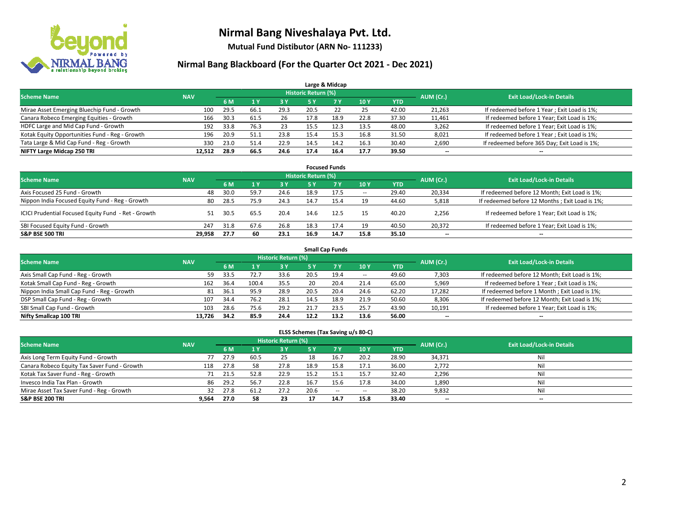

**Mutual Fund Distibutor (ARN No- 111233)**

### **Nirmal Bang Blackboard (For the Quarter Oct 2021 - Dec 2021)**

| Large & Midcap                                 |            |      |      |           |                                  |      |      |            |                          |                                              |  |  |  |  |
|------------------------------------------------|------------|------|------|-----------|----------------------------------|------|------|------------|--------------------------|----------------------------------------------|--|--|--|--|
| <b>Scheme Name</b>                             | <b>NAV</b> |      |      | AUM (Cr.) | <b>Exit Load/Lock-in Details</b> |      |      |            |                          |                                              |  |  |  |  |
|                                                |            | 6 M  |      | 3 Y       | 5 Y                              | 7 Y  | 10Y  | <b>YTD</b> |                          |                                              |  |  |  |  |
| Mirae Asset Emerging Bluechip Fund - Growth    | 100        | 29.5 | 66.1 | 29.3      | 20.5                             | 22   | 25   | 42.00      | 21,263                   | If redeemed before 1 Year; Exit Load is 1%;  |  |  |  |  |
| Canara Robeco Emerging Equities - Growth       | 166        | 30.3 | 61.5 | 26        | 17.8                             | 18.9 | 22.8 | 37.30      | 11,461                   | If redeemed before 1 Year; Exit Load is 1%;  |  |  |  |  |
| HDFC Large and Mid Cap Fund - Growth           | 192        | 33.8 | 76.3 | 23        | 15.5                             | 12.3 | 13.5 | 48.00      | 3,262                    | If redeemed before 1 Year; Exit Load is 1%;  |  |  |  |  |
| Kotak Equity Opportunities Fund - Reg - Growth | 196        | 20.9 | 51.1 | 23.8      | 15.4                             | 15.3 | 16.8 | 31.50      | 8,021                    | If redeemed before 1 Year; Exit Load is 1%;  |  |  |  |  |
| Tata Large & Mid Cap Fund - Reg - Growth       | 330        | 23.0 | 51.4 | 22.9      | 14.5                             | 14.2 | 16.3 | 30.40      | 2,690                    | If redeemed before 365 Day; Exit Load is 1%; |  |  |  |  |
| NIFTY Large Midcap 250 TRI                     | 12.512     | 28.9 | 66.5 | 24.6      | 17.4                             | 16.4 | 17.7 | 39.50      | $\overline{\phantom{a}}$ | $- -$                                        |  |  |  |  |

| <b>Focused Funds</b>                                |            |      |      |            |                     |           |                          |       |                          |                                                 |  |  |  |  |
|-----------------------------------------------------|------------|------|------|------------|---------------------|-----------|--------------------------|-------|--------------------------|-------------------------------------------------|--|--|--|--|
| <b>Scheme Name</b>                                  | <b>NAV</b> |      |      |            | Historic Return (%) |           |                          |       | AUM (Cr.)                | <b>Exit Load/Lock-in Details</b>                |  |  |  |  |
|                                                     |            | 6 M  |      | <b>3 Y</b> | 5 Y                 | <b>7Y</b> | 10Y                      | YTD   |                          |                                                 |  |  |  |  |
| Axis Focused 25 Fund - Growth                       | 48         | 30.0 | 59.7 | 24.6       | 18.9                | 17.5      | $\overline{\phantom{a}}$ | 29.40 | 20,334                   | If redeemed before 12 Month; Exit Load is 1%;   |  |  |  |  |
| Nippon India Focused Equity Fund - Reg - Growth     | 80         | 28.5 | 75.9 | 24.3       | 14.7                | 15.4      | 19                       | 44.60 | 5,818                    | If redeemed before 12 Months ; Exit Load is 1%; |  |  |  |  |
| ICICI Prudential Focused Equity Fund - Ret - Growth | 51         | 30.5 | 65.5 | 20.4       | 14.6                | 12.5      | 15                       | 40.20 | 2,256                    | If redeemed before 1 Year; Exit Load is 1%;     |  |  |  |  |
| SBI Focused Equity Fund - Growth                    | 247        | 31.8 | 67.6 | 26.8       | 18.3                | 17.4      | 19                       | 40.50 | 20,372                   | If redeemed before 1 Year; Exit Load is 1%;     |  |  |  |  |
| <b>S&amp;P BSE 500 TRI</b>                          | 29.958     | 27.7 | 60   | 23.1       | 16.9                | 14.7      | 15.8                     | 35.10 | $\overline{\phantom{a}}$ | --                                              |  |  |  |  |

|                                            | <b>Small Cap Funds</b> |           |                                  |      |      |           |            |            |        |                                               |  |  |  |  |  |
|--------------------------------------------|------------------------|-----------|----------------------------------|------|------|-----------|------------|------------|--------|-----------------------------------------------|--|--|--|--|--|
| <b>Scheme Name</b>                         | <b>NAV</b>             | AUM (Cr.) | <b>Exit Load/Lock-in Details</b> |      |      |           |            |            |        |                                               |  |  |  |  |  |
|                                            |                        | 6 M       |                                  | 3 Y  | 5 Y  | <b>7Y</b> | <b>10Y</b> | <b>YTD</b> |        |                                               |  |  |  |  |  |
| Axis Small Cap Fund - Reg - Growth         | 59                     | 33.5      | 72.7                             | 33.6 | 20.5 | 19.4      | $- -$      | 49.60      | 7,303  | If redeemed before 12 Month; Exit Load is 1%; |  |  |  |  |  |
| Kotak Small Cap Fund - Reg - Growth        | 162                    | 36.4      | 100.4                            | 35.5 | 20   | 20.4      | 21.4       | 65.00      | 5,969  | If redeemed before 1 Year; Exit Load is 1%;   |  |  |  |  |  |
| Nippon India Small Cap Fund - Reg - Growth | 81                     | 36.1      | 95.9                             | 28.9 | 20.5 | 20.4      | 24.6       | 62.20      | 17,282 | If redeemed before 1 Month; Exit Load is 1%;  |  |  |  |  |  |
| DSP Small Cap Fund - Reg - Growth          | 107                    | 34.4      | 76.2                             | 28.1 | 14.5 | 18.9      | 21.9       | 50.60      | 8,306  | If redeemed before 12 Month; Exit Load is 1%; |  |  |  |  |  |
| SBI Small Cap Fund - Growth                | 103                    | 28.6      | 75.6                             | 29.2 | 21.7 | 23.5      | 25.7       | 43.90      | 10,191 | If redeemed before 1 Year; Exit Load is 1%;   |  |  |  |  |  |
| Nifty Smallcap 100 TRI                     | 13.726                 | 34.2      | 85.9                             | 24.4 | 12.2 | 13.2      | 13.6       | 56.00      | --     | $\overline{\phantom{m}}$                      |  |  |  |  |  |

#### **ELSS Schemes (Tax Saving u/s 80-C)**

| <b>Scheme Name</b>                           | <b>NAV</b> |      |      | Historic Return (%) |           |           |                          |            | AUM (Cr.)                | <b>Exit Load/Lock-in Details</b> |
|----------------------------------------------|------------|------|------|---------------------|-----------|-----------|--------------------------|------------|--------------------------|----------------------------------|
|                                              |            | 6 M  |      | <b>3 Y</b>          | <b>5Y</b> | <b>7Y</b> | <b>10Y</b>               | <b>YTD</b> |                          |                                  |
| Axis Long Term Equity Fund - Growth          |            | 27.9 | 60.5 | 25                  | 18        | 16.7      | 20.2                     | 28.90      | 34,371                   | Nil                              |
| Canara Robeco Equity Tax Saver Fund - Growth | 118        | 27.8 | 58   | 27.8                | 18.9      | 15.8      | 17.1                     | 36.00      | 2,772                    | Nil                              |
| Kotak Tax Saver Fund - Reg - Growth          | 71         | 21.5 | 52.8 | 22.9                | 15.2      | 15.1      | 15.7                     | 32.40      | 2,296                    | Nil                              |
| Invesco India Tax Plan - Growth              | 86         | 29.2 | 56.7 | 22.8                | 16.7      | 15.6      | 17.8                     | 34.00      | 1,890                    | Nil                              |
| Mirae Asset Tax Saver Fund - Reg - Growth    | 32         | 27.8 | 61.2 | 27.2                | 20.6      | $\sim$    | $\overline{\phantom{a}}$ | 38.20      | 9,832                    | Nil                              |
| <b>S&amp;P BSE 200 TRI</b>                   | 9.564      | 27.0 | 58   | 23                  |           | 14.7      | 15.8                     | 33.40      | $\overline{\phantom{a}}$ | $\overline{\phantom{a}}$         |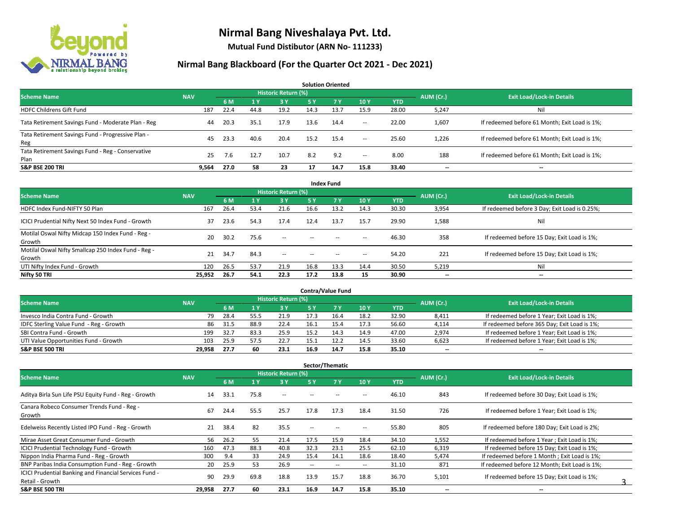

**Mutual Fund Distibutor (ARN No- 111233)**

|                                                           |            |      |      |                     |      | <b>Solution Oriented</b> |        |            |                          |                                               |
|-----------------------------------------------------------|------------|------|------|---------------------|------|--------------------------|--------|------------|--------------------------|-----------------------------------------------|
| <b>Scheme Name</b>                                        | <b>NAV</b> |      |      | Historic Return (%) |      |                          |        |            | AUM (Cr.)                | <b>Exit Load/Lock-in Details</b>              |
|                                                           |            | 6 M  |      | 3 Y                 | 5 Y  | <b>7Y</b>                | 10Y    | <b>YTD</b> |                          |                                               |
| <b>HDFC Childrens Gift Fund</b>                           | 187        | 22.4 | 44.8 | 19.2                | 14.3 | 13.7                     | 15.9   | 28.00      | 5,247                    | Ni                                            |
| Tata Retirement Savings Fund - Moderate Plan - Reg        | 44         | 20.3 | 35.1 | 17.9                | 13.6 | 14.4                     | $\sim$ | 22.00      | 1,607                    | If redeemed before 61 Month; Exit Load is 1%; |
| Tata Retirement Savings Fund - Progressive Plan -<br>Reg  | 45         | 23.3 | 40.6 | 20.4                | 15.2 | 15.4                     | $\sim$ | 25.60      | 1,226                    | If redeemed before 61 Month; Exit Load is 1%; |
| Tata Retirement Savings Fund - Reg - Conservative<br>Plan | 25         | 7.6  | 12.7 | 10.7                | 8.2  | 9.2                      | $\sim$ | 8.00       | 188                      | If redeemed before 61 Month; Exit Load is 1%; |
| <b>S&amp;P BSE 200 TRI</b>                                | 9,564      | 27.0 | 58   | 23                  | 17   | 14.7                     | 15.8   | 33.40      | $\overline{\phantom{a}}$ | $- -$                                         |

| <b>Index Fund</b>                                             |            |      |      |                            |        |           |                          |            |           |                                               |  |  |  |  |
|---------------------------------------------------------------|------------|------|------|----------------------------|--------|-----------|--------------------------|------------|-----------|-----------------------------------------------|--|--|--|--|
| <b>Scheme Name</b>                                            | <b>NAV</b> |      |      | <b>Historic Return (%)</b> |        |           |                          |            | AUM (Cr.) | <b>Exit Load/Lock-in Details</b>              |  |  |  |  |
|                                                               |            | 6 M  | 1 Y  | <b>3 Y</b>                 | 5 Y    | <b>7Y</b> | 10Y                      | <b>YTD</b> |           |                                               |  |  |  |  |
| HDFC Index Fund-NIFTY 50 Plan                                 | 167        | 26.4 | 53.4 | 21.6                       | 16.6   | 13.2      | 14.3                     | 30.30      | 3,954     | If redeemed before 3 Day; Exit Load is 0.25%; |  |  |  |  |
| ICICI Prudential Nifty Next 50 Index Fund - Growth            | 37         | 23.6 | 54.3 | 17.4                       | 12.4   | 13.7      | 15.7                     | 29.90      | 1,588     | Nil                                           |  |  |  |  |
| Motilal Oswal Nifty Midcap 150 Index Fund - Reg -<br>Growth   | 20         | 30.2 | 75.6 | $\sim$                     | $\sim$ | $-$       | $\overline{\phantom{a}}$ | 46.30      | 358       | If redeemed before 15 Day; Exit Load is 1%;   |  |  |  |  |
| Motilal Oswal Nifty Smallcap 250 Index Fund - Reg -<br>Growth | 21         | 34.7 | 84.3 | $\overline{\phantom{a}}$   | $\sim$ | $-$       | $\overline{\phantom{a}}$ | 54.20      | 221       | If redeemed before 15 Day; Exit Load is 1%;   |  |  |  |  |
| UTI Nifty Index Fund - Growth                                 | 120        | 26.5 | 53.7 | 21.9                       | 16.8   | 13.3      | 14.4                     | 30.50      | 5,219     | Nil                                           |  |  |  |  |
| Nifty 50 TRI                                                  | 25,952     | 26.7 | 54.1 | 22.3                       | 17.2   | 13.8      | 15                       | 30.90      | $- -$     | $\overline{\phantom{a}}$                      |  |  |  |  |

| <b>Contra/Value Fund</b>                |            |      |      |                     |      |      |      |       |           |                                              |  |  |  |
|-----------------------------------------|------------|------|------|---------------------|------|------|------|-------|-----------|----------------------------------------------|--|--|--|
| <b>Scheme Name</b>                      | <b>NAV</b> |      |      | Historic Return (%) |      |      |      |       | AUM (Cr.) | <b>Exit Load/Lock-in Details</b>             |  |  |  |
|                                         |            | 6 M  |      | 3 Y                 |      |      | 10Y  | YTD   |           |                                              |  |  |  |
| Invesco India Contra Fund - Growth      | 79         | 28.4 | 55.5 | 21.9                |      | 16.4 | 18.2 | 32.90 | 8,411     | If redeemed before 1 Year; Exit Load is 1%;  |  |  |  |
| IDFC Sterling Value Fund - Reg - Growth | 86         | 31.5 | 88.9 | 22.4                | 16.1 |      | 17.3 | 56.60 | 4,114     | If redeemed before 365 Day; Exit Load is 1%; |  |  |  |
| SBI Contra Fund - Growth                | 199        | 32.7 | 83.3 | 25.9                | 15.2 | 14.3 | 14.9 | 47.00 | 2,974     | If redeemed before 1 Year; Exit Load is 1%;  |  |  |  |
| UTI Value Opportunities Fund - Growth   | 103        | 25.9 | 57.5 | 22.7                | 15.1 | 12.2 | 14.5 | 33.60 | 6,623     | If redeemed before 1 Year; Exit Load is 1%;  |  |  |  |
| <b>S&amp;P BSE 500 TRI</b>              | 29.958     | 27.7 | 60   | 23.1                | 16.9 | 14.7 | 15.8 | 35.10 | $- -$     | $- -$                                        |  |  |  |

| Sector/Thematic                                                           |            |      |      |                            |        |                          |                          |            |                          |                                               |  |  |  |
|---------------------------------------------------------------------------|------------|------|------|----------------------------|--------|--------------------------|--------------------------|------------|--------------------------|-----------------------------------------------|--|--|--|
| <b>Scheme Name</b>                                                        | <b>NAV</b> |      |      | <b>Historic Return (%)</b> |        |                          |                          |            | AUM (Cr.)                | <b>Exit Load/Lock-in Details</b>              |  |  |  |
|                                                                           |            | 6 M  | 1 Y  | 3 Y                        | 5 Y    | 7Y                       | 10Y                      | <b>YTD</b> |                          |                                               |  |  |  |
| Aditya Birla Sun Life PSU Equity Fund - Reg - Growth                      | 14         | 33.1 | 75.8 | $\sim$                     | --     |                          | --                       | 46.10      | 843                      | If redeemed before 30 Day; Exit Load is 1%;   |  |  |  |
| Canara Robeco Consumer Trends Fund - Reg -<br>Growth                      | 67         | 24.4 | 55.5 | 25.7                       | 17.8   | 17.3                     | 18.4                     | 31.50      | 726                      | If redeemed before 1 Year; Exit Load is 1%;   |  |  |  |
| Edelweiss Recently Listed IPO Fund - Reg - Growth                         | 21         | 38.4 | 82   | 35.5                       | $-$    |                          |                          | 55.80      | 805                      | If redeemed before 180 Day; Exit Load is 2%;  |  |  |  |
| Mirae Asset Great Consumer Fund - Growth                                  | 56         | 26.2 | 55   | 21.4                       | 17.5   | 15.9                     | 18.4                     | 34.10      | 1,552                    | If redeemed before 1 Year; Exit Load is 1%;   |  |  |  |
| <b>ICICI Prudential Technology Fund - Growth</b>                          | 160        | 47.3 | 88.3 | 40.8                       | 32.3   | 23.1                     | 25.5                     | 62.10      | 6,319                    | If redeemed before 15 Day; Exit Load is 1%;   |  |  |  |
| Nippon India Pharma Fund - Reg - Growth                                   | 300        | 9.4  | 33   | 24.9                       | 15.4   | 14.1                     | 18.6                     | 18.40      | 5,474                    | If redeemed before 1 Month; Exit Load is 1%;  |  |  |  |
| BNP Paribas India Consumption Fund - Reg - Growth                         | 20         | 25.9 | 53   | 26.9                       | $\sim$ | $\overline{\phantom{a}}$ | $\overline{\phantom{a}}$ | 31.10      | 871                      | If redeemed before 12 Month: Exit Load is 1%: |  |  |  |
| ICICI Prudential Banking and Financial Services Fund -<br>Retail - Growth | 90         | 29.9 | 69.8 | 18.8                       | 13.9   | 15.7                     | 18.8                     | 36.70      | 5,101                    | If redeemed before 15 Day; Exit Load is 1%;   |  |  |  |
| <b>S&amp;P BSE 500 TRI</b>                                                | 29,958     | 27.7 | 60   | 23.1                       | 16.9   | 14.7                     | 15.8                     | 35.10      | $\overline{\phantom{a}}$ | --                                            |  |  |  |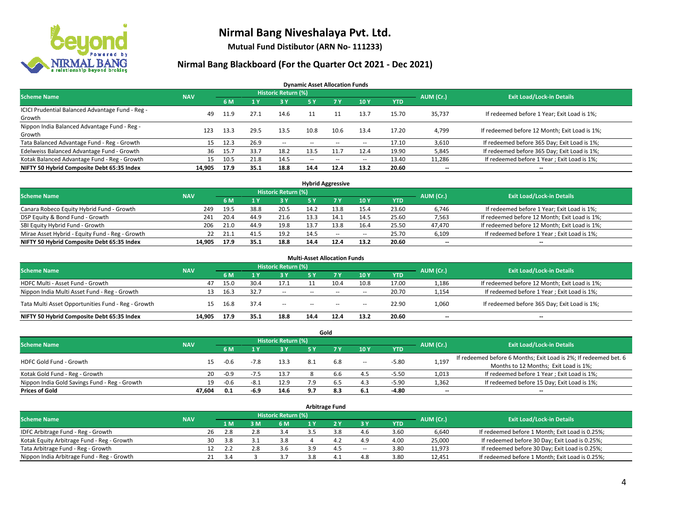

**Mutual Fund Distibutor (ARN No- 111233)**

### **Nirmal Bang Blackboard (For the Quarter Oct 2021 - Dec 2021)**

**Dynamic Asset Allocation Funds**

| <b>Scheme Name</b>                                         | <b>NAV</b> |      |      | <b>Historic Return (%)</b> |               |        |                          |            | AUM (Cr.) | <b>Exit Load/Lock-in Details</b>              |
|------------------------------------------------------------|------------|------|------|----------------------------|---------------|--------|--------------------------|------------|-----------|-----------------------------------------------|
|                                                            |            | 6 M  |      | 3Y                         | 5 Y           |        | 10Y                      | <b>YTD</b> |           |                                               |
| ICICI Prudential Balanced Advantage Fund - Reg -<br>Growth | 49         | 11.9 | 27.1 | 14.6                       |               |        | 13.7                     | 15.70      | 35,737    | If redeemed before 1 Year; Exit Load is 1%;   |
| Nippon India Balanced Advantage Fund - Reg -<br>Growth     | 123        | 13.3 | 29.5 | 13.5                       | 10.8          | 10.6   | 13.4                     | 17.20      | 4,799     | If redeemed before 12 Month; Exit Load is 1%; |
| Tata Balanced Advantage Fund - Reg - Growth                | 15         | 12.3 | 26.9 | $\sim$                     | $- -$         | $\sim$ | $\overline{\phantom{a}}$ | 17.10      | 3,610     | If redeemed before 365 Day; Exit Load is 1%;  |
| Edelweiss Balanced Advantage Fund - Growth                 | 36         | 15.7 | 33.7 | 18.2                       | 13.5          |        | 12.4                     | 19.90      | 5,845     | If redeemed before 365 Day; Exit Load is 1%;  |
| Kotak Balanced Advantage Fund - Reg - Growth               | 15         | 10.5 | 21.8 | 14.5                       | $\sim$ $\sim$ | $-$    | $\sim$                   | 13.40      | 11,286    | If redeemed before 1 Year; Exit Load is 1%;   |
| NIFTY 50 Hybrid Composite Debt 65:35 Index                 | 14,905     | 17.9 | 35.1 | 18.8                       | 14.4          | 12.4   | 13.2                     | 20.60      | $- -$     | $\overline{\phantom{a}}$                      |

| <b>Hybrid Aggressive</b>                        |            |            |      |                            |      |      |        |            |           |                                               |  |  |  |
|-------------------------------------------------|------------|------------|------|----------------------------|------|------|--------|------------|-----------|-----------------------------------------------|--|--|--|
| <b>Scheme Name</b>                              | <b>NAV</b> |            |      | <b>Historic Return (%)</b> |      |      |        |            | AUM (Cr.) | <b>Exit Load/Lock-in Details</b>              |  |  |  |
|                                                 |            | 6 M        |      | 3 Y                        |      |      | 10Y    | <b>YTD</b> |           |                                               |  |  |  |
| Canara Robeco Equity Hybrid Fund - Growth       | 249        | 19.5       | 38.8 | 20.5                       | 14.2 | 13.8 | 15.4   | 23.60      | 6,746     | If redeemed before 1 Year; Exit Load is 1%;   |  |  |  |
| DSP Equity & Bond Fund - Growth                 | 241        | 20.4       | 44.9 | 21.6                       |      |      | 14.5   | 25.60      | 7,563     | If redeemed before 12 Month; Exit Load is 1%; |  |  |  |
| SBI Equity Hybrid Fund - Growth                 | 206        | 21.0       | 44.9 | 19.8                       | 13.7 | 13.8 | 16.4   | 25.50      | 47,470    | If redeemed before 12 Month; Exit Load is 1%; |  |  |  |
| Mirae Asset Hybrid - Equity Fund - Reg - Growth |            | 21.1<br>22 | 41.5 | 19.2                       | 14.5 | $-$  | $\sim$ | 25.70      | 6,109     | If redeemed before 1 Year; Exit Load is 1%;   |  |  |  |
| NIFTY 50 Hybrid Composite Debt 65:35 Index      | 14.905     | 17.9       | 35.1 | 18.8                       | 14.4 | 12.4 | 13.2   | 20.60      | $- -$     | $- -$                                         |  |  |  |

| <b>Multi-Asset Allocation Funds</b>                |            |      |      |                     |               |           |      |            |           |                                               |  |  |  |
|----------------------------------------------------|------------|------|------|---------------------|---------------|-----------|------|------------|-----------|-----------------------------------------------|--|--|--|
| <b>Scheme Name</b>                                 | <b>NAV</b> |      |      | Historic Return (%) |               |           |      |            | AUM (Cr.) | <b>Exit Load/Lock-in Details</b>              |  |  |  |
|                                                    |            | 6 M  |      | 3 Y                 | 5 Y           | <b>7Y</b> | 10Y  | <b>YTD</b> |           |                                               |  |  |  |
| HDFC Multi - Asset Fund - Growth                   | 47         | 15.0 | 30.4 | 17.1                |               | 10.4      | 10.8 | 17.00      | 1,186     | If redeemed before 12 Month; Exit Load is 1%; |  |  |  |
| Nippon India Multi Asset Fund - Reg - Growth       | 13         | 16.3 | 32.7 | --                  | $\sim$ $\sim$ | $\sim$    | $-$  | 20.70      | 1,154     | If redeemed before 1 Year; Exit Load is 1%;   |  |  |  |
| Tata Multi Asset Opportunities Fund - Reg - Growth | 15         | 16.8 | 37.4 | $-$                 | $\sim$ $\sim$ | $-$       | $-$  | 22.90      | 1,060     | If redeemed before 365 Day; Exit Load is 1%;  |  |  |  |
| NIFTY 50 Hybrid Composite Debt 65:35 Index         | 14.905     | 17.9 | 35.1 | 18.8                | 14.4          | 12.4      | 13.2 | 20.60      | --        | $\overline{\phantom{a}}$                      |  |  |  |

|                                               |            |           |                                  |      |     | Gold |        |            |                          |                                                                  |
|-----------------------------------------------|------------|-----------|----------------------------------|------|-----|------|--------|------------|--------------------------|------------------------------------------------------------------|
| <b>Scheme Name</b>                            | <b>NAV</b> | AUM (Cr.) | <b>Exit Load/Lock-in Details</b> |      |     |      |        |            |                          |                                                                  |
|                                               |            | 6 M       |                                  | 3 Y  | 5 Y |      | 10Y    | <b>YTD</b> |                          |                                                                  |
| HDFC Gold Fund - Growth                       | 15         | $-0.6$    |                                  | 13.3 |     | 6.8  | $\sim$ | $-5.80$    | 1,197                    | If redeemed before 6 Months; Exit Load is 2%; If redeemed bet. 6 |
|                                               |            |           |                                  |      |     |      |        |            |                          | Months to 12 Months; Exit Load is 1%;                            |
| Kotak Gold Fund - Reg - Growth                | 20         | $-0.9$    |                                  | 13.7 |     | b.b  | 4.5    | $-5.50$    | 1,013                    | If redeemed before 1 Year; Exit Load is 1%;                      |
| Nippon India Gold Savings Fund - Reg - Growth | 19         | $-0.6$    | $-8.1$                           | 12.9 | 7 Q |      | 4.3    | $-5.90$    | 1,362                    | If redeemed before 15 Day; Exit Load is 1%;                      |
| <b>Prices of Gold</b>                         | 47.604     | 0.1       | -6.9                             | 14.6 | 9.7 | 8.3  | 6.1    | -4.80      | $\overline{\phantom{a}}$ | --                                                               |

| <b>Arbitrage Fund</b>                      |            |                                  |     |     |  |             |       |            |        |                                                 |  |  |  |  |
|--------------------------------------------|------------|----------------------------------|-----|-----|--|-------------|-------|------------|--------|-------------------------------------------------|--|--|--|--|
| <b>Scheme Name</b>                         | AUM (Cr.)  | <b>Exit Load/Lock-in Details</b> |     |     |  |             |       |            |        |                                                 |  |  |  |  |
|                                            | <b>NAV</b> | 1 M                              | 3 M | 6 M |  | <b>27 V</b> | 3 Y   | <b>YTD</b> |        |                                                 |  |  |  |  |
| IDFC Arbitrage Fund - Reg - Growth         | 26         | 2.8                              |     | 3.4 |  |             | 4.6   | 3.60       | 6,640  | If redeemed before 1 Month; Exit Load is 0.25%; |  |  |  |  |
| Kotak Equity Arbitrage Fund - Reg - Growth | 30.        | -3.8                             |     | 3.8 |  |             | 4.9   | 4.00       | 25,000 | If redeemed before 30 Day; Exit Load is 0.25%;  |  |  |  |  |
| Tata Arbitrage Fund - Reg - Growth         | 12         | 2.2                              |     | 3.6 |  | 4.5         | $\!-$ | 3.80       | 11,973 | If redeemed before 30 Day; Exit Load is 0.25%;  |  |  |  |  |
| Nippon India Arbitrage Fund - Reg - Growth |            |                                  |     | 3.7 |  | 4.          | 4.8   | 3.80       | 12,451 | If redeemed before 1 Month; Exit Load is 0.25%; |  |  |  |  |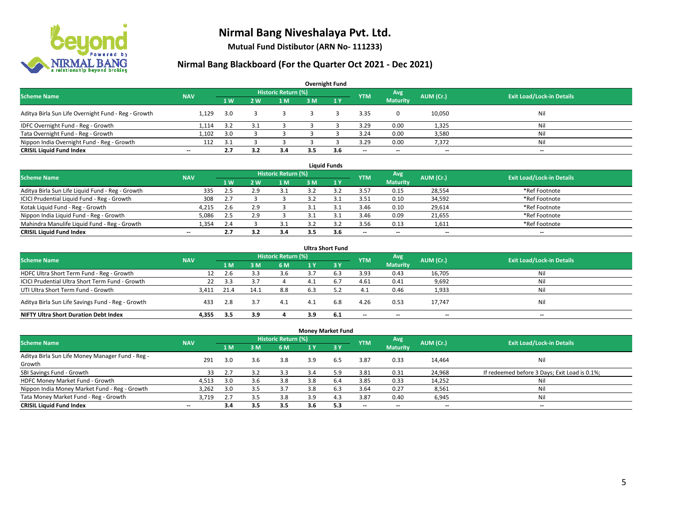

**Mutual Fund Distibutor (ARN No- 111233)**

| <b>Overnight Fund</b>                               |                          |                |                |                            |     |                |                          |                          |           |                                  |  |  |  |  |
|-----------------------------------------------------|--------------------------|----------------|----------------|----------------------------|-----|----------------|--------------------------|--------------------------|-----------|----------------------------------|--|--|--|--|
| <b>Scheme Name</b>                                  | <b>NAV</b>               |                |                | <b>Historic Return (%)</b> |     |                | <b>YTM</b>               | Avg                      | AUM (Cr.) | <b>Exit Load/Lock-in Details</b> |  |  |  |  |
|                                                     |                          | 1 <sub>W</sub> | 2 <sub>w</sub> | 1 M                        | 3 M | $\sqrt{1}$ $V$ |                          | <b>Maturity</b>          |           |                                  |  |  |  |  |
| Aditya Birla Sun Life Overnight Fund - Reg - Growth | 1.129                    | 3.0            |                |                            |     |                | 3.35                     |                          | 10,050    | Nil                              |  |  |  |  |
| IDFC Overnight Fund - Reg - Growth                  | 1,114                    | 3.2            |                |                            |     |                | 3.29                     | 0.00                     | 1,325     | Nil                              |  |  |  |  |
| Tata Overnight Fund - Reg - Growth                  | 1.102                    | 3.0            |                |                            |     |                | 3.24                     | 0.00                     | 3,580     | Nil                              |  |  |  |  |
| Nippon India Overnight Fund - Reg - Growth          | 112                      | 3.1            |                |                            |     |                | 3.29                     | 0.00                     | 7,372     | Nil                              |  |  |  |  |
| <b>CRISIL Liquid Fund Index</b>                     | $\overline{\phantom{a}}$ | 2.7            | 3.2            | 3.4                        | 3.5 | 3.6            | $\overline{\phantom{a}}$ | $\overline{\phantom{a}}$ | $- -$     | $-$                              |  |  |  |  |

| <b>Liquid Funds</b>                              |            |           |     |                     |     |     |            |                          |           |                                  |  |  |  |
|--------------------------------------------------|------------|-----------|-----|---------------------|-----|-----|------------|--------------------------|-----------|----------------------------------|--|--|--|
| <b>Scheme Name</b>                               | <b>NAV</b> |           |     | Historic Return (%) |     |     | <b>YTM</b> | Avg                      | AUM (Cr.) | <b>Exit Load/Lock-in Details</b> |  |  |  |
|                                                  |            | <b>1W</b> | 2 W | 1 M                 | 3 M |     |            | <b>Maturity</b>          |           |                                  |  |  |  |
| Aditya Birla Sun Life Liquid Fund - Reg - Growth | 335        | 2.5       | 2.9 | 3.1                 |     |     | 3.57       | 0.15                     | 28,554    | *Ref Footnote                    |  |  |  |
| ICICI Prudential Liquid Fund - Reg - Growth      | 308        | 2.7       |     |                     |     |     | 3.51       | 0.10                     | 34,592    | *Ref Footnote                    |  |  |  |
| Kotak Liquid Fund - Reg - Growth                 | 4,215      | 2.6       |     |                     |     |     | 3.46       | 0.10                     | 29,614    | *Ref Footnote                    |  |  |  |
| Nippon India Liquid Fund - Reg - Growth          | 5,086      | 2.5       |     |                     |     |     | 3.46       | 0.09                     | 21,655    | *Ref Footnote                    |  |  |  |
| Mahindra Manulife Liquid Fund - Reg - Growth     | 1.354      | 2.4       |     |                     |     |     | 3.56       | 0.13                     | 1,611     | *Ref Footnote                    |  |  |  |
| <b>CRISIL Liquid Fund Index</b>                  | $- -$      | 2.7       |     | 3.4                 | 3.5 | 3.6 | $- -$      | $\overline{\phantom{a}}$ | $- -$     | $\overline{\phantom{a}}$         |  |  |  |

| <b>Ultra Short Fund</b>                           |            |      |      |                            |     |              |                          |                          |           |                                  |  |  |  |
|---------------------------------------------------|------------|------|------|----------------------------|-----|--------------|--------------------------|--------------------------|-----------|----------------------------------|--|--|--|
| <b>Scheme Name</b>                                | <b>NAV</b> |      |      | <b>Historic Return (%)</b> |     |              | <b>YTM</b>               | Avg                      | AUM (Cr.) | <b>Exit Load/Lock-in Details</b> |  |  |  |
|                                                   |            | 1 M  | 3 M  | 6 M                        | 1 Y | $\sqrt{3}$ Y |                          | <b>Maturity</b>          |           |                                  |  |  |  |
| HDFC Ultra Short Term Fund - Reg - Growth         | 12         | 2.6  |      | 3.6                        |     | 6.3          | 3.93                     | 0.43                     | 16,705    | Nil                              |  |  |  |
| ICICI Prudential Ultra Short Term Fund - Growth   | 22         | -3.3 | 3.1  |                            | 4.1 | 6.7          | 4.61                     | 0.41                     | 9,692     | Nil                              |  |  |  |
| UTI Ultra Short Term Fund - Growth                | 3.411      | 21.4 | 14.1 | 8.8                        | 6.3 |              | 4.1                      | 0.46                     | 1,933     | Nil                              |  |  |  |
| Aditya Birla Sun Life Savings Fund - Reg - Growth | 433        | 2.8  | 3.7  | 4.1                        | 4.1 | 6.8          | 4.26                     | 0.53                     | 17,747    | Nil                              |  |  |  |
| <b>NIFTY Ultra Short Duration Debt Index</b>      | 4.355      | 3.5  | 3.9  |                            | 3.9 | 6.1          | $\overline{\phantom{a}}$ | $\overline{\phantom{a}}$ | --        | $-$                              |  |  |  |

| <b>Money Market Fund</b>                         |                          |     |     |                            |     |                 |                          |                          |                          |                                               |  |  |  |  |
|--------------------------------------------------|--------------------------|-----|-----|----------------------------|-----|-----------------|--------------------------|--------------------------|--------------------------|-----------------------------------------------|--|--|--|--|
| <b>Scheme Name</b>                               | <b>NAV</b>               |     |     | <b>Historic Return (%)</b> |     |                 | <b>YTM</b>               | Avg                      | AUM (Cr.)                | <b>Exit Load/Lock-in Details</b>              |  |  |  |  |
|                                                  |                          | 1 M | 3 M | 6 M                        | 1 Y | $\overline{3V}$ |                          | <b>Maturity</b>          |                          |                                               |  |  |  |  |
| Aditya Birla Sun Life Money Manager Fund - Reg - | 291                      | 3.0 | 3.6 | 3.8                        | 3.9 | 6.5             | 3.87                     | 0.33                     | 14,464                   | Nil                                           |  |  |  |  |
| Growth                                           |                          |     |     |                            |     |                 |                          |                          |                          |                                               |  |  |  |  |
| SBI Savings Fund - Growth                        | 33                       | 2.7 | 3.2 | 3.3                        | 3.4 | 5.9             | 3.81                     | 0.31                     | 24,968                   | If redeemed before 3 Days; Exit Load is 0.1%; |  |  |  |  |
| HDFC Money Market Fund - Growth                  | 4,513                    | 3.0 | 3.6 | 3.8                        | 3.8 | 6.4             | 3.85                     | 0.33                     | 14,252                   | Nil                                           |  |  |  |  |
| Nippon India Money Market Fund - Reg - Growth    | 3,262                    | 3.0 | 3.5 | 3.7                        | 3.8 | 6.3             | 3.64                     | 0.27                     | 8,561                    | Ni                                            |  |  |  |  |
| Tata Money Market Fund - Reg - Growth            | 3.719                    | 2.7 | 3.5 | 3.8                        | 3.9 | 4.3             | 3.87                     | 0.40                     | 6,945                    | Ni                                            |  |  |  |  |
| <b>CRISIL Liquid Fund Index</b>                  | $\overline{\phantom{a}}$ | 3.4 | 3.5 | 3.5                        | 3.6 | 5.3             | $\overline{\phantom{a}}$ | $\overline{\phantom{a}}$ | $\overline{\phantom{a}}$ | $- -$                                         |  |  |  |  |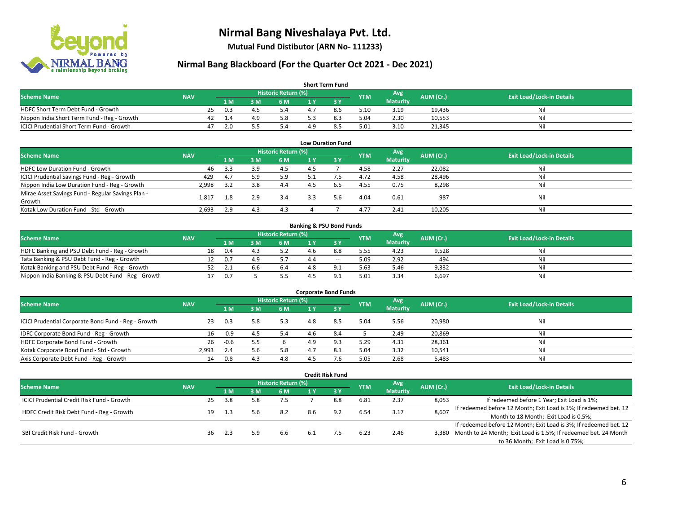

**Mutual Fund Distibutor (ARN No- 111233)**

| <b>Short Term Fund</b>                           |            |    |      |    |                     |     |     |            |                 |           |                                  |  |  |  |
|--------------------------------------------------|------------|----|------|----|---------------------|-----|-----|------------|-----------------|-----------|----------------------------------|--|--|--|
| <b>Scheme Name</b>                               | <b>NAV</b> |    |      |    | Historic Return (%) |     |     | <b>YTM</b> | Avg             | AUM (Cr.) | <b>Exit Load/Lock-in Details</b> |  |  |  |
|                                                  |            |    | 1 M. | 3M | 6 M                 |     |     |            | <b>Maturity</b> |           |                                  |  |  |  |
| HDFC Short Term Debt Fund - Growth               |            | 25 | 0.3  | 4  | 5.4                 | 4.7 | 8.6 | 5.10       | 3.19            | 19.436    | Nil                              |  |  |  |
| Nippon India Short Term Fund - Reg - Growth      |            | 42 |      | 4. | 5.8                 |     | 8.3 | 5.04       | 2.30            | 10,553    | Nil                              |  |  |  |
| <b>ICICI Prudential Short Term Fund - Growth</b> |            |    |      |    | 5.4                 |     | 8.5 | 5.01       | 3.10            | 21,345    | Nil                              |  |  |  |

| <b>Low Duration Fund</b>                          |                |     |     |                            |     |      |            |                 |           |                                  |  |  |  |  |
|---------------------------------------------------|----------------|-----|-----|----------------------------|-----|------|------------|-----------------|-----------|----------------------------------|--|--|--|--|
| <b>Scheme Name</b>                                | <b>NAV</b>     |     |     | <b>Historic Return (%)</b> |     |      | <b>YTM</b> | Avg             | AUM (Cr.) | <b>Exit Load/Lock-in Details</b> |  |  |  |  |
|                                                   |                | 1 M | 3 M | 6 M                        |     | -3 Y |            | <b>Maturity</b> |           |                                  |  |  |  |  |
| HDFC Low Duration Fund - Growth                   | 46             | 3.3 | 3.9 | 4.5                        | 4.5 |      | 4.58       | 2.27            | 22,082    | Nil                              |  |  |  |  |
| ICICI Prudential Savings Fund - Reg - Growth      | 429            | 4.7 | 5.9 | 5.9                        | 5.1 |      | 4.72       | 4.58            | 28,496    | Nil                              |  |  |  |  |
| Nippon India Low Duration Fund - Reg - Growth     | 2,998          | 3.2 | 3.8 | 4.4                        |     | 6.5  | 4.55       | 0.75            | 8,298     | Nil                              |  |  |  |  |
| Mirae Asset Savings Fund - Regular Savings Plan - | $1.81^{\circ}$ |     | 2.9 | 3.4                        | 3.3 | 5.6  | 4.04       | 0.61            | 987       | Nil                              |  |  |  |  |
| Growth                                            |                |     |     |                            |     |      |            |                 |           |                                  |  |  |  |  |
| Kotak Low Duration Fund - Std - Growth            | 2,693          | 2.9 | 4.3 | 4.3                        |     |      | 4.77       | 2.41            | 10,205    | Nil                              |  |  |  |  |

| <b>Banking &amp; PSU Bond Funds</b>                 |            |    |      |     |                     |     |       |            |                 |           |                                  |  |  |  |
|-----------------------------------------------------|------------|----|------|-----|---------------------|-----|-------|------------|-----------------|-----------|----------------------------------|--|--|--|
| <b>Scheme Name</b>                                  | <b>NAV</b> |    |      |     | Historic Return (%) |     |       | <b>YTM</b> | Avg             | AUM (Cr.) | <b>Exit Load/Lock-in Details</b> |  |  |  |
|                                                     |            |    | 4 M. | ያ M | 6 M                 |     |       |            | <b>Maturity</b> |           |                                  |  |  |  |
| HDFC Banking and PSU Debt Fund - Reg - Growth       |            | 18 | 0.4  |     |                     | 4.6 | 8.8   | 5.55       | 4.23            | 9,528     | Nil                              |  |  |  |
| Tata Banking & PSU Debt Fund - Reg - Growth         |            |    | 0.7  | 49  |                     |     | $- -$ | 5.09       | 2.92            | 494       | Nil                              |  |  |  |
| Kotak Banking and PSU Debt Fund - Reg - Growth      |            |    |      | b.b | 6.4                 |     |       | 5.63       | 5.46            | 9,332     | Nil                              |  |  |  |
| Nippon India Banking & PSU Debt Fund - Reg - Growth |            |    | 0.7  |     |                     |     |       | 5.01       | 3.34            | 6.697     | Nil                              |  |  |  |

| <b>Corporate Bond Funds</b>                         |            |        |     |                            |     |      |            |                        |           |                                  |  |
|-----------------------------------------------------|------------|--------|-----|----------------------------|-----|------|------------|------------------------|-----------|----------------------------------|--|
| <b>Scheme Name</b>                                  | <b>NAV</b> |        |     | <b>Historic Return (%)</b> |     |      | <b>YTM</b> | Avg<br><b>Maturity</b> | AUM (Cr.) | <b>Exit Load/Lock-in Details</b> |  |
|                                                     |            | 1 M    | з м | 6 M                        |     | -3 Y |            |                        |           |                                  |  |
| ICICI Prudential Corporate Bond Fund - Reg - Growth | 23         | 0.3    | 5.8 | 5.3                        | 4.8 | 8.5  | 5.04       | 5.56                   | 20,980    | Nil                              |  |
| IDFC Corporate Bond Fund - Reg - Growth             | 16         | $-0.9$ |     | 5.4                        | 4.6 | 8.4  |            | 2.49                   | 20,869    | Nil                              |  |
| HDFC Corporate Bond Fund - Growth                   | 26         | $-0.6$ |     |                            | 4.9 |      | 5.29       | 4.31                   | 28,361    | Nil                              |  |
| Kotak Corporate Bond Fund - Std - Growth            | 2.993      | 2.4    |     | 5.8                        |     |      | 5.04       | 3.32                   | 10,541    | Nil                              |  |
| Axis Corporate Debt Fund - Reg - Growth             | 14         | 0.8    | 4.3 | 4.8                        |     |      | 5.05       | 2.68                   | 5,483     | Nil                              |  |

| <b>Credit Risk Fund</b>                    |            |    |     |     |                            |      |       |            |                 |           |                                                                       |
|--------------------------------------------|------------|----|-----|-----|----------------------------|------|-------|------------|-----------------|-----------|-----------------------------------------------------------------------|
| <b>Scheme Name</b>                         | <b>NAV</b> |    |     |     | <b>Historic Return (%)</b> |      |       | <b>YTM</b> | Avg             | AUM (Cr.) | <b>Exit Load/Lock-in Details</b>                                      |
|                                            |            |    | 1 M | : M | 6 M                        | 1 Y  | $-3V$ |            | <b>Maturity</b> |           |                                                                       |
| ICICI Prudential Credit Risk Fund - Growth |            | 25 | 3.8 |     | 7.5                        |      | 8.8   | 6.81       | 2.37            | 8,053     | If redeemed before 1 Year; Exit Load is 1%;                           |
| HDFC Credit Risk Debt Fund - Reg - Growth  |            | 19 | 1.3 |     | 8.2                        | 8.6  | 9.2   | 6.54       | 3.17            | 8,607     | If redeemed before 12 Month; Exit Load is 1%; If redeemed bet. 12     |
|                                            |            |    |     |     |                            |      |       |            |                 |           | Month to 18 Month; Exit Load is 0.5%;                                 |
| SBI Credit Risk Fund - Growth              |            |    |     |     |                            |      |       |            |                 |           | If redeemed before 12 Month; Exit Load is 3%; If redeemed bet. 12     |
|                                            |            | 36 | 2.3 |     | 6.6                        | -6.1 |       | 6.23       | 2.46            |           | 3,380 Month to 24 Month; Exit Load is 1.5%; If redeemed bet. 24 Month |
|                                            |            |    |     |     |                            |      |       |            |                 |           | to 36 Month; Exit Load is 0.75%;                                      |